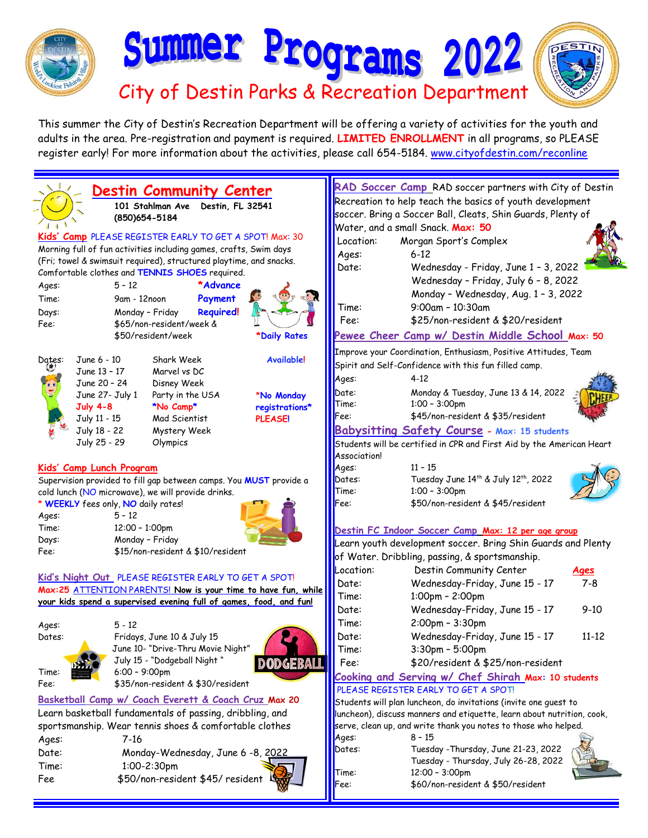

This summer the City of Destin's Recreation Department will be offering a variety of activities for the youth and adults in the area. Pre-registration and payment is required. **LIMITED ENROLLMENT** in all programs, so PLEASE register early! For more information about the activities, please call 654-5184. [www.cityofdestin.com/reconline](http://www.cityofdestin.com/reconline)



**RAD Soccer Camp** RAD soccer partners with City of Destin Recreation to help teach the basics of youth development soccer. Bring a Soccer Ball, Cleats, Shin Guards, Plenty of Water, and a small Snack. **Max: 50** Location: Morgan Sport's Complex Date: Wednesday - Friday, June 1 – 3, 2022 Wednesday – Friday, July 6 – 8, 2022 Monday – Wednesday, Aug. 1 – 3, 2022 Time: 9:00am – 10:30am Fee: \$25/non-resident & \$20/resident **Pewee Cheer Camp w/ Destin Middle School Max: 50** Improve your Coordination, Enthusiasm, Positive Attitudes, Team Spirit and Self-Confidence with this fun filled camp. Date: Monday & Tuesday, June 13 & 14, 2022 Time: 1:00 – 3:00pm Fee: \$45/non-resident & \$35/resident **Babysitting Safety Course - Max: 15 students** Students will be certified in CPR and First Aid by the American Heart Ages: 11 – 15 Dates: Tuesday June 14 th & July 12 th, 2022 Time: 1:00 – 3:00pm Fee: \$50/non-resident & \$45/resident **Destin FC Indoor Soccer Camp Max: 12 per age group** Learn youth development soccer. Bring Shin Guards and Plenty of Water. Dribbling, passing, & sportsmanship. Location: Destin Community Center **Ages**  Date: Wednesday-Friday, June 15 - 17 7-8 Time: 1:00pm – 2:00pm Date: Wednesday-Friday, June 15 - 17 9-10 Time: 2:00pm – 3:30pm Date: Wednesday-Friday, June 15 - 17 11-12 Time: 3:30pm – 5:00pm Fee: \$20/resident & \$25/non-resident **Cooking and Serving w/ Chef Shirah Max: 10 students** PLEASE REGISTER EARLY TO GET A SPOT! Students will plan luncheon, do invitations (invite one guest to luncheon), discuss manners and etiquette, learn about nutrition, cook, serve, clean up, and write thank you notes to those who helped. Ages: 8 – 15 Dates: Tuesday -Thursday, June 21-23, 2022 Tuesday - Thursday, July 26-28, 2022 Time: 12:00 – 3:00pm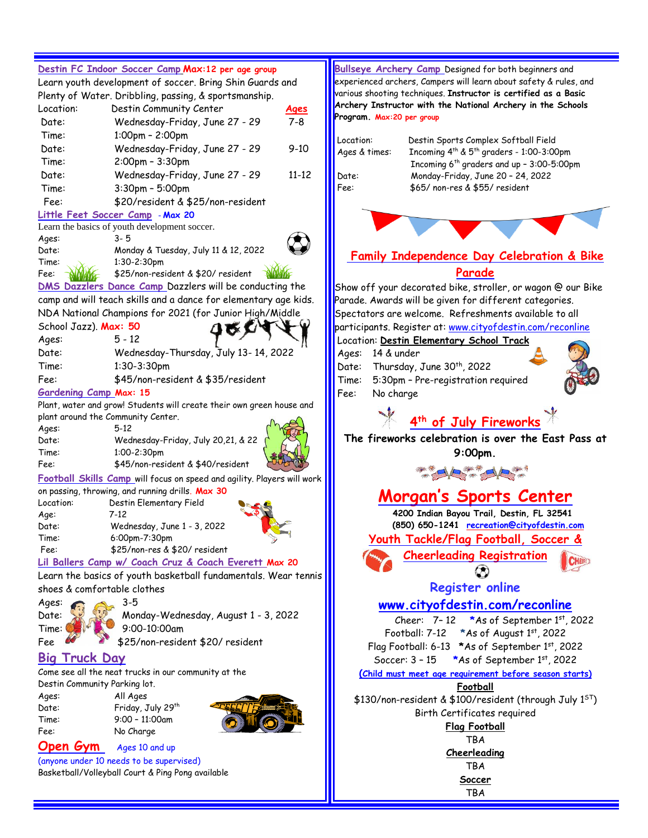